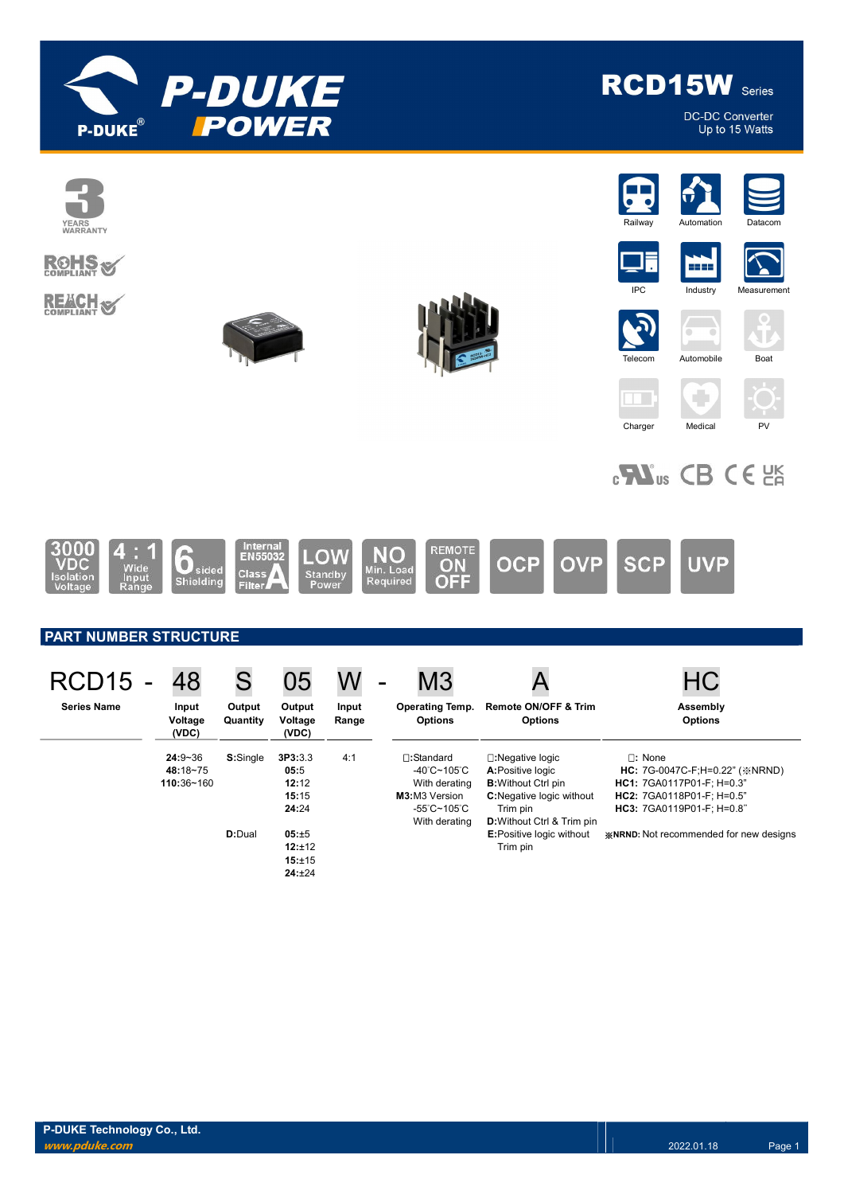

**DC-DC Converter** Up to 15 Watts

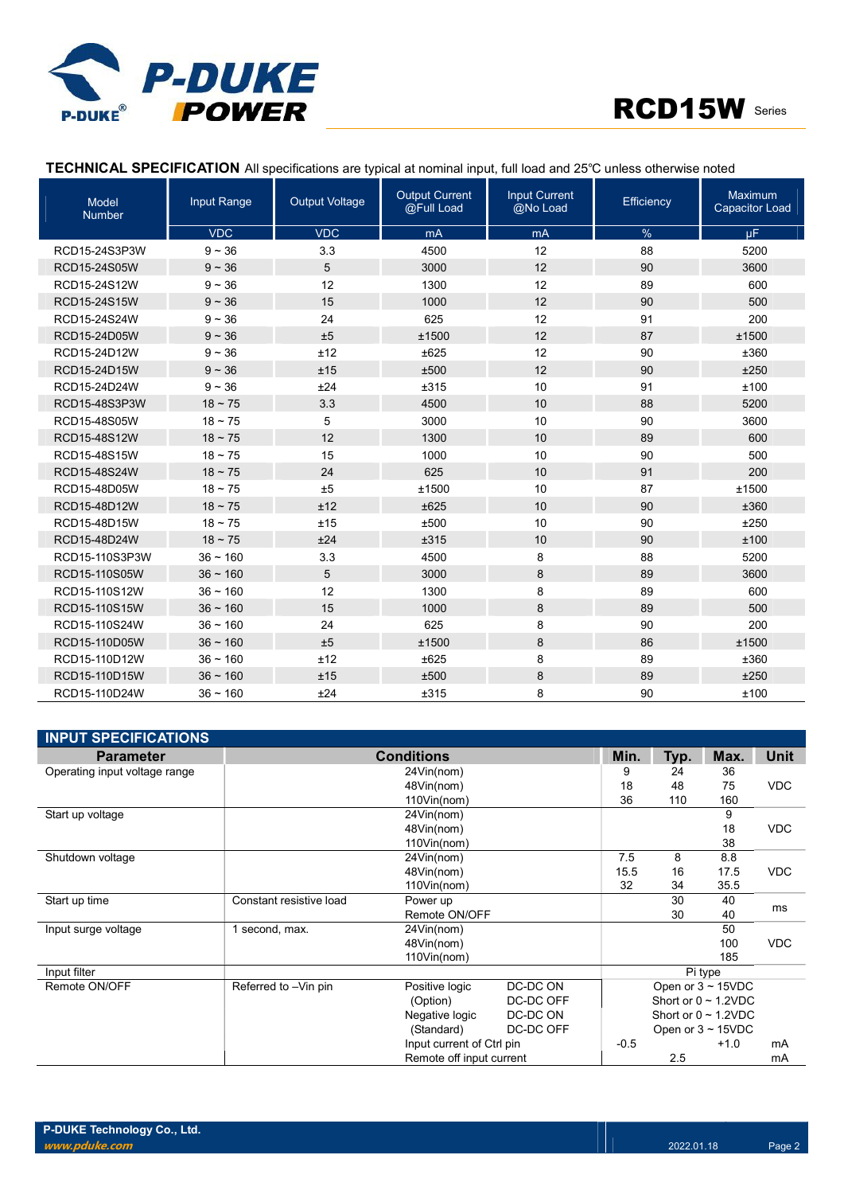



### TECHNICAL SPECIFICATION All specifications are typical at nominal input, full load and 25℃ unless otherwise noted

| <b>Model</b><br><b>Number</b> | Input Range   | <b>Output Voltage</b> | <b>Output Current</b><br>@Full Load | <b>Input Current</b><br>@No Load | Efficiency | Maximum<br><b>Capacitor Load</b> |
|-------------------------------|---------------|-----------------------|-------------------------------------|----------------------------------|------------|----------------------------------|
|                               | <b>VDC</b>    | <b>VDC</b>            | mA                                  | mA                               | %          | $\mu$ F                          |
| RCD15-24S3P3W                 | $9 - 36$      | 3.3                   | 4500                                | 12                               | 88         | 5200                             |
| RCD15-24S05W                  | $9 - 36$      | 5                     | 3000                                | 12                               | 90         | 3600                             |
| RCD15-24S12W                  | $9 - 36$      | 12                    | 1300                                | 12                               | 89         | 600                              |
| RCD15-24S15W                  | $9 - 36$      | 15                    | 1000                                | 12                               | 90         | 500                              |
| RCD15-24S24W                  | $9 - 36$      | 24                    | 625                                 | 12                               | 91         | 200                              |
| RCD15-24D05W                  | $9 - 36$      | ±5                    | ±1500                               | 12                               | 87         | ±1500                            |
| RCD15-24D12W                  | $9 - 36$      | ±12                   | ±625                                | 12                               | 90         | ±360                             |
| RCD15-24D15W                  | $9 - 36$      | ±15                   | ±500                                | 12                               | 90         | ±250                             |
| RCD15-24D24W                  | $9 - 36$      | ±24                   | ±315                                | 10                               | 91         | ±100                             |
| RCD15-48S3P3W                 | $18 - 75$     | 3.3                   | 4500                                | 10                               | 88         | 5200                             |
| RCD15-48S05W                  | $18 - 75$     | 5                     | 3000                                | 10                               | 90         | 3600                             |
| RCD15-48S12W                  | $18 - 75$     | 12                    | 1300                                | 10                               | 89         | 600                              |
| RCD15-48S15W                  | $18 - 75$     | 15                    | 1000                                | 10                               | 90         | 500                              |
| RCD15-48S24W                  | $18 - 75$     | 24                    | 625                                 | 10                               | 91         | 200                              |
| RCD15-48D05W                  | $18 - 75$     | ±5                    | ±1500                               | 10                               | 87         | ±1500                            |
| RCD15-48D12W                  | $18 \sim 75$  | ±12                   | ±625                                | 10                               | 90         | ±360                             |
| RCD15-48D15W                  | $18 - 75$     | ±15                   | ±500                                | 10                               | 90         | ±250                             |
| RCD15-48D24W                  | $18 - 75$     | ±24                   | ±315                                | 10                               | 90         | ±100                             |
| RCD15-110S3P3W                | $36 - 160$    | 3.3                   | 4500                                | 8                                | 88         | 5200                             |
| RCD15-110S05W                 | $36 \sim 160$ | 5                     | 3000                                | 8                                | 89         | 3600                             |
| RCD15-110S12W                 | $36 - 160$    | 12                    | 1300                                | 8                                | 89         | 600                              |
| RCD15-110S15W                 | $36 - 160$    | 15                    | 1000                                | 8                                | 89         | 500                              |
| RCD15-110S24W                 | $36 - 160$    | 24                    | 625                                 | 8                                | 90         | 200                              |
| RCD15-110D05W                 | $36 \sim 160$ | ±5                    | ±1500                               | 8                                | 86         | ±1500                            |
| RCD15-110D12W                 | $36 - 160$    | ±12                   | ±625                                | 8                                | 89         | ±360                             |
| RCD15-110D15W                 | $36 \sim 160$ | ±15                   | ±500                                | 8                                | 89         | ±250                             |
| RCD15-110D24W                 | $36 - 160$    | ±24                   | ±315                                | 8                                | 90         | ±100                             |

| <b>INPUT SPECIFICATIONS</b>   |                         |                           |           |         |      |                           |            |
|-------------------------------|-------------------------|---------------------------|-----------|---------|------|---------------------------|------------|
| <b>Parameter</b>              |                         | <b>Conditions</b>         |           | Min.    | Typ. | Max.                      | Unit       |
| Operating input voltage range |                         | 24Vin(nom)                |           | 9       | 24   | 36                        |            |
|                               |                         | 48Vin(nom)                |           | 18      | 48   | 75                        | <b>VDC</b> |
|                               |                         | 110Vin(nom)               |           | 36      | 110  | 160                       |            |
| Start up voltage              |                         | 24Vin(nom)                |           |         |      | 9                         |            |
|                               |                         | 48Vin(nom)                |           |         |      | 18                        | <b>VDC</b> |
|                               |                         | 110Vin(nom)               |           |         |      | 38                        |            |
| Shutdown voltage              |                         | 24Vin(nom)                |           | 7.5     | 8    | 8.8                       |            |
|                               |                         | 48Vin(nom)                |           | 15.5    | 16   | 17.5                      | <b>VDC</b> |
|                               |                         | 110Vin(nom)               |           | 32      | 34   | 35.5                      |            |
| Start up time                 | Constant resistive load | Power up                  |           |         | 30   | 40                        | ms         |
|                               |                         | Remote ON/OFF             |           |         | 30   | 40                        |            |
| Input surge voltage           | 1 second, max.          | 24Vin(nom)                |           |         |      | 50                        |            |
|                               |                         | 48Vin(nom)                |           |         |      | 100                       | <b>VDC</b> |
|                               |                         | 110Vin(nom)               |           |         |      | 185                       |            |
| Input filter                  |                         |                           |           | Pi type |      |                           |            |
| Remote ON/OFF                 | Referred to -Vin pin    | Positive logic            | DC-DC ON  |         |      | Open or $3 \sim 15$ VDC   |            |
|                               |                         | (Option)                  | DC-DC OFF |         |      | Short or $0 \sim 1.2$ VDC |            |
|                               |                         | Negative logic            | DC-DC ON  |         |      | Short or $0 \sim 1.2$ VDC |            |
|                               |                         | (Standard)                | DC-DC OFF |         |      | Open or $3 \sim 15$ VDC   |            |
|                               |                         | Input current of Ctrl pin |           | $-0.5$  |      | $+1.0$                    | mA         |
|                               |                         | Remote off input current  |           |         | 2.5  |                           | mA         |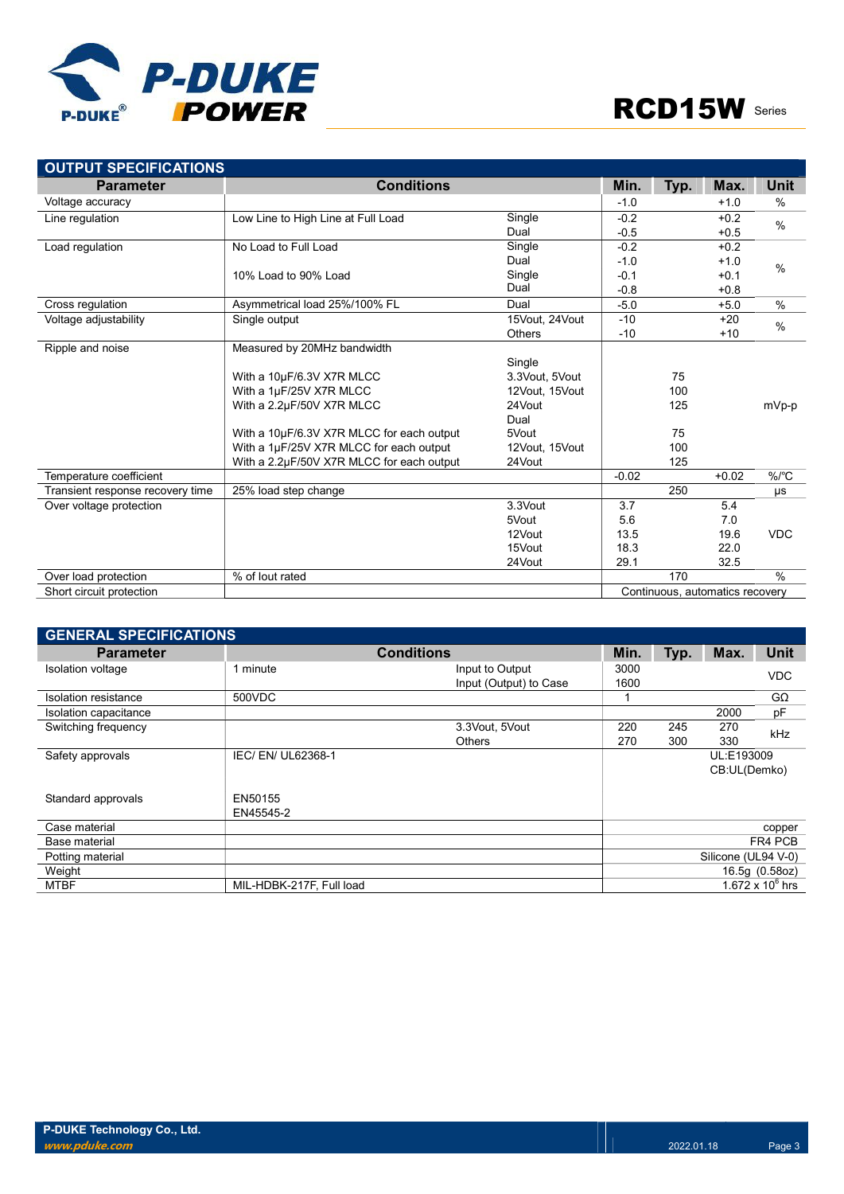

| <b>OUTPUT SPECIFICATIONS</b>     |                                           |                |         |      |                                 |               |
|----------------------------------|-------------------------------------------|----------------|---------|------|---------------------------------|---------------|
| <b>Parameter</b>                 | <b>Conditions</b>                         |                | Min.    | Typ. | Max.                            | Unit          |
| Voltage accuracy                 |                                           |                | $-1.0$  |      | $+1.0$                          | $\%$          |
| Line regulation                  | Low Line to High Line at Full Load        | Single         | $-0.2$  |      | $+0.2$                          | $\frac{0}{0}$ |
|                                  |                                           | Dual           | $-0.5$  |      | $+0.5$                          |               |
| Load regulation                  | No Load to Full Load                      | Single         | $-0.2$  |      | $+0.2$                          |               |
|                                  |                                           | Dual           | $-1.0$  |      | $+1.0$                          | $\frac{0}{0}$ |
|                                  | 10% Load to 90% Load                      | Single         | $-0.1$  |      | $+0.1$                          |               |
|                                  |                                           | Dual           | $-0.8$  |      | $+0.8$                          |               |
| Cross regulation                 | Asymmetrical load 25%/100% FL             | Dual           | $-5.0$  |      | $+5.0$                          | $\frac{0}{0}$ |
| Voltage adjustability            | Single output                             | 15Vout, 24Vout | $-10$   |      | $+20$                           | $\frac{0}{0}$ |
|                                  |                                           | <b>Others</b>  | $-10$   |      | $+10$                           |               |
| Ripple and noise                 | Measured by 20MHz bandwidth               |                |         |      |                                 |               |
|                                  |                                           | Single         |         |      |                                 |               |
|                                  | With a 10µF/6.3V X7R MLCC                 | 3.3Vout, 5Vout |         | 75   |                                 |               |
|                                  | With a 1µF/25V X7R MLCC                   | 12Vout, 15Vout |         | 100  |                                 |               |
|                                  | With a 2.2µF/50V X7R MLCC                 | 24Vout         |         | 125  |                                 | mVp-p         |
|                                  |                                           | Dual           |         |      |                                 |               |
|                                  | With a 10µF/6.3V X7R MLCC for each output | 5Vout          |         | 75   |                                 |               |
|                                  | With a 1µF/25V X7R MLCC for each output   | 12Vout, 15Vout |         | 100  |                                 |               |
|                                  | With a 2.2µF/50V X7R MLCC for each output | 24Vout         |         | 125  |                                 |               |
| Temperature coefficient          |                                           |                | $-0.02$ |      | $+0.02$                         | $%$ /°C       |
| Transient response recovery time | 25% load step change                      |                |         | 250  |                                 | μs            |
| Over voltage protection          |                                           | 3.3Vout        | 3.7     |      | 5.4                             |               |
|                                  |                                           | 5Vout          | 5.6     |      | 7.0                             |               |
|                                  |                                           | 12Vout         | 13.5    |      | 19.6                            | <b>VDC</b>    |
|                                  |                                           | 15Vout         | 18.3    |      | 22.0                            |               |
|                                  |                                           | 24Vout         | 29.1    |      | 32.5                            |               |
| Over load protection             | % of lout rated                           |                |         | 170  |                                 | $\frac{0}{0}$ |
| Short circuit protection         |                                           |                |         |      | Continuous, automatics recovery |               |

| <b>GENERAL SPECIFICATIONS</b> |                          |                        |      |     |                     |                    |  |
|-------------------------------|--------------------------|------------------------|------|-----|---------------------|--------------------|--|
| <b>Parameter</b>              |                          | <b>Conditions</b>      |      |     |                     | <b>Unit</b>        |  |
| Isolation voltage             | 1 minute                 | Input to Output        | 3000 |     |                     | <b>VDC</b>         |  |
|                               |                          | Input (Output) to Case | 1600 |     |                     |                    |  |
| Isolation resistance          | 500VDC                   |                        | 1    |     |                     | $G\Omega$          |  |
| Isolation capacitance         |                          |                        |      |     | 2000                | рF                 |  |
| Switching frequency           |                          | 3.3Vout, 5Vout         | 220  | 245 | 270                 | kHz                |  |
|                               |                          | <b>Others</b>          | 270  | 300 | 330                 |                    |  |
| Safety approvals              | IEC/EN/UL62368-1         |                        |      |     | UL:E193009          |                    |  |
|                               |                          |                        |      |     | CB:UL(Demko)        |                    |  |
|                               |                          |                        |      |     |                     |                    |  |
| Standard approvals            | EN50155                  |                        |      |     |                     |                    |  |
|                               | EN45545-2                |                        |      |     |                     |                    |  |
| Case material                 |                          |                        |      |     |                     | copper             |  |
| Base material                 |                          |                        |      |     |                     | FR4 PCB            |  |
| Potting material              |                          |                        |      |     | Silicone (UL94 V-0) |                    |  |
| Weight                        |                          |                        |      |     |                     | 16.5g (0.58oz)     |  |
| <b>MTBF</b>                   | MIL-HDBK-217F, Full load |                        |      |     |                     | 1.672 x $10^6$ hrs |  |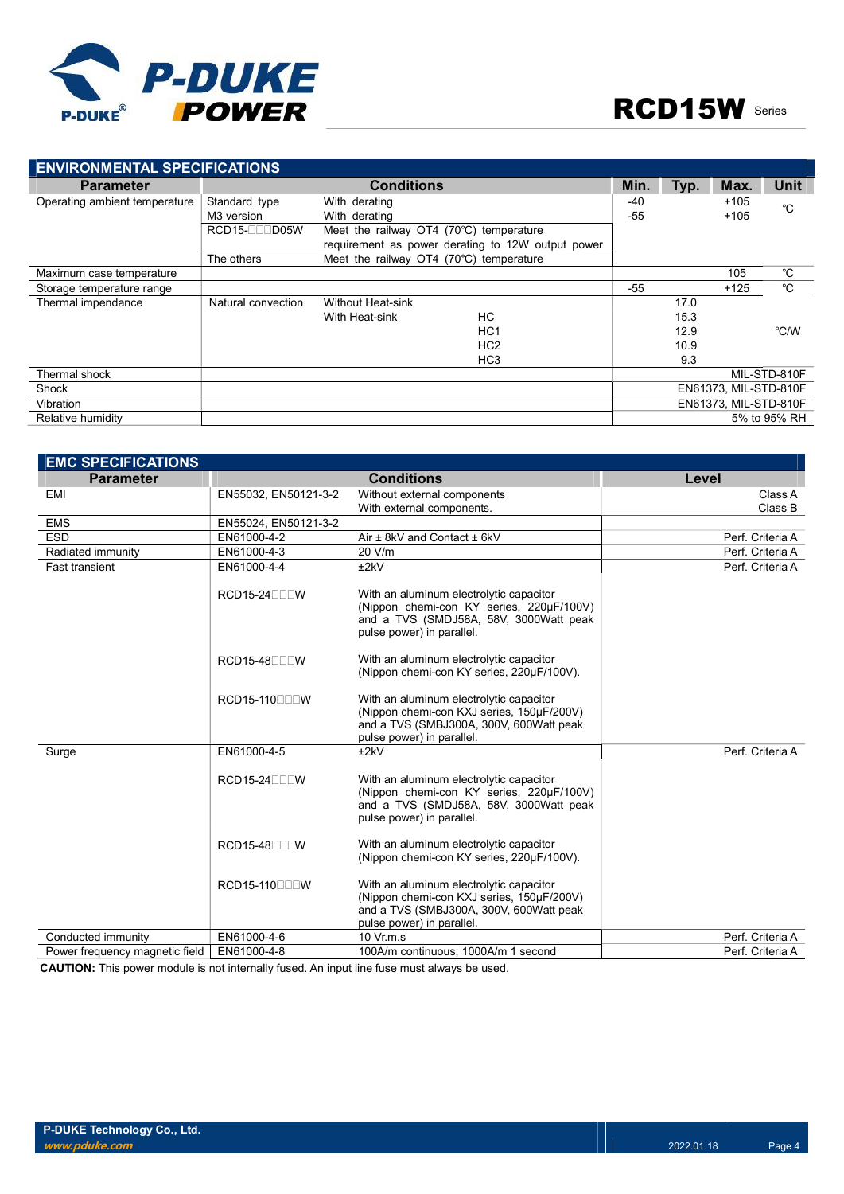

| <b>ENVIRONMENTAL SPECIFICATIONS</b> |                        |                                         |                                                   |       |      |                       |              |  |
|-------------------------------------|------------------------|-----------------------------------------|---------------------------------------------------|-------|------|-----------------------|--------------|--|
| <b>Parameter</b>                    |                        | <b>Conditions</b>                       |                                                   | Min.  | Typ. | Max.                  | <b>Unit</b>  |  |
| Operating ambient temperature       | Standard type          | With derating                           |                                                   | $-40$ |      | $+105$                | °C           |  |
|                                     | M <sub>3</sub> version | With derating                           |                                                   | $-55$ |      | $+105$                |              |  |
|                                     | RCD15-OOD05W           | Meet the railway OT4 (70°C) temperature |                                                   |       |      |                       |              |  |
|                                     |                        |                                         | requirement as power derating to 12W output power |       |      |                       |              |  |
|                                     | The others             | Meet the railway OT4 (70°C) temperature |                                                   |       |      |                       |              |  |
| Maximum case temperature            |                        |                                         |                                                   |       |      | 105                   | $^{\circ}$ C |  |
| Storage temperature range           |                        |                                         |                                                   | $-55$ |      | $+125$                | $^{\circ}$ C |  |
| Thermal impendance                  | Natural convection     | <b>Without Heat-sink</b>                |                                                   |       | 17.0 |                       |              |  |
|                                     |                        | With Heat-sink                          | НC                                                |       | 15.3 |                       |              |  |
|                                     |                        |                                         | HC <sub>1</sub>                                   |       | 12.9 |                       | °C/W         |  |
|                                     |                        |                                         | HC <sub>2</sub>                                   |       | 10.9 |                       |              |  |
|                                     |                        |                                         | HC <sub>3</sub>                                   |       | 9.3  |                       |              |  |
| Thermal shock                       |                        |                                         |                                                   |       |      |                       | MIL-STD-810F |  |
| Shock                               |                        |                                         |                                                   |       |      | EN61373, MIL-STD-810F |              |  |
| Vibration                           |                        |                                         |                                                   |       |      | EN61373, MIL-STD-810F |              |  |
| Relative humidity                   |                        |                                         |                                                   |       |      |                       | 5% to 95% RH |  |

| <b>EMC SPECIFICATIONS</b>      |                       |                                                                                                                                                              |                  |
|--------------------------------|-----------------------|--------------------------------------------------------------------------------------------------------------------------------------------------------------|------------------|
| <b>Parameter</b>               |                       | <b>Conditions</b>                                                                                                                                            | Level            |
| <b>EMI</b>                     | EN55032, EN50121-3-2  | Without external components                                                                                                                                  | Class A          |
|                                |                       | With external components.                                                                                                                                    | Class B          |
| <b>EMS</b>                     | EN55024, EN50121-3-2  |                                                                                                                                                              |                  |
| <b>ESD</b>                     | EN61000-4-2           | Air ± 8kV and Contact ± 6kV                                                                                                                                  | Perf. Criteria A |
| Radiated immunity              | EN61000-4-3           | 20 V/m                                                                                                                                                       | Perf. Criteria A |
| <b>Fast transient</b>          | EN61000-4-4           | ±2kV                                                                                                                                                         | Perf. Criteria A |
|                                | <b>RCD15-24</b> 00 UW | With an aluminum electrolytic capacitor<br>(Nippon chemi-con KY series, 220µF/100V)<br>and a TVS (SMDJ58A, 58V, 3000Watt peak<br>pulse power) in parallel.   |                  |
|                                | $RCD15-48$            | With an aluminum electrolytic capacitor<br>(Nippon chemi-con KY series, 220µF/100V).                                                                         |                  |
|                                | RCD15-110000W         | With an aluminum electrolytic capacitor<br>(Nippon chemi-con KXJ series, 150µF/200V)<br>and a TVS (SMBJ300A, 300V, 600Watt peak<br>pulse power) in parallel. |                  |
| Surge                          | EN61000-4-5           | ±2kV                                                                                                                                                         | Perf. Criteria A |
|                                | <b>RCD15-24</b> 00 UW | With an aluminum electrolytic capacitor<br>(Nippon chemi-con KY series, 220µF/100V)<br>and a TVS (SMDJ58A, 58V, 3000Watt peak<br>pulse power) in parallel.   |                  |
|                                | <b>RCD15-48</b>       | With an aluminum electrolytic capacitor<br>(Nippon chemi-con KY series, 220µF/100V).                                                                         |                  |
|                                | RCD15-110000W         | With an aluminum electrolytic capacitor<br>(Nippon chemi-con KXJ series, 150µF/200V)<br>and a TVS (SMBJ300A, 300V, 600Watt peak<br>pulse power) in parallel. |                  |
| Conducted immunity             | EN61000-4-6           | $10 \text{ Vr} \text{m} \text{ s}$                                                                                                                           | Perf. Criteria A |
| Power frequency magnetic field | EN61000-4-8           | 100A/m continuous; 1000A/m 1 second                                                                                                                          | Perf. Criteria A |

CAUTION: This power module is not internally fused. An input line fuse must always be used.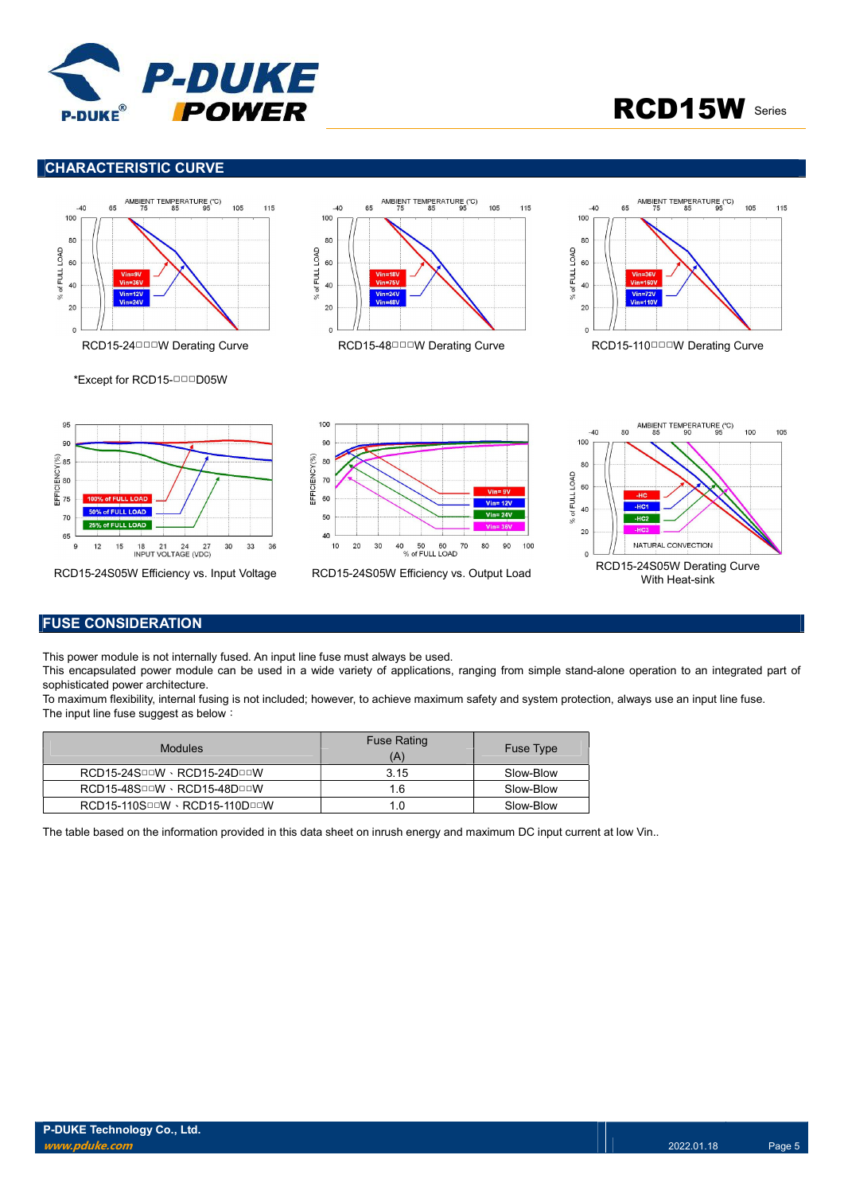

### CHARACTERISTIC CURVE















### FUSE CONSIDERATION

This power module is not internally fused. An input line fuse must always be used.

This encapsulated power module can be used in a wide variety of applications, ranging from simple stand-alone operation to an integrated part of sophisticated power architecture.

To maximum flexibility, internal fusing is not included; however, to achieve maximum safety and system protection, always use an input line fuse. The input line fuse suggest as below:

| <b>Modules</b>                                     | <b>Fuse Rating</b><br>(A) | <b>Fuse Type</b> |
|----------------------------------------------------|---------------------------|------------------|
| $RCD15-24S^{\Box\Box}W\cdot RCD15-24D^{\Box\Box}W$ | 3.15                      | Slow-Blow        |
| RCD15-48SOOW · RCD15-48DOOW                        | 1.6                       | Slow-Blow        |
| $RCD15-110S$ DDV · $RCD15-110D$ DDDV               | 1.0                       | Slow-Blow        |

The table based on the information provided in this data sheet on inrush energy and maximum DC input current at low Vin..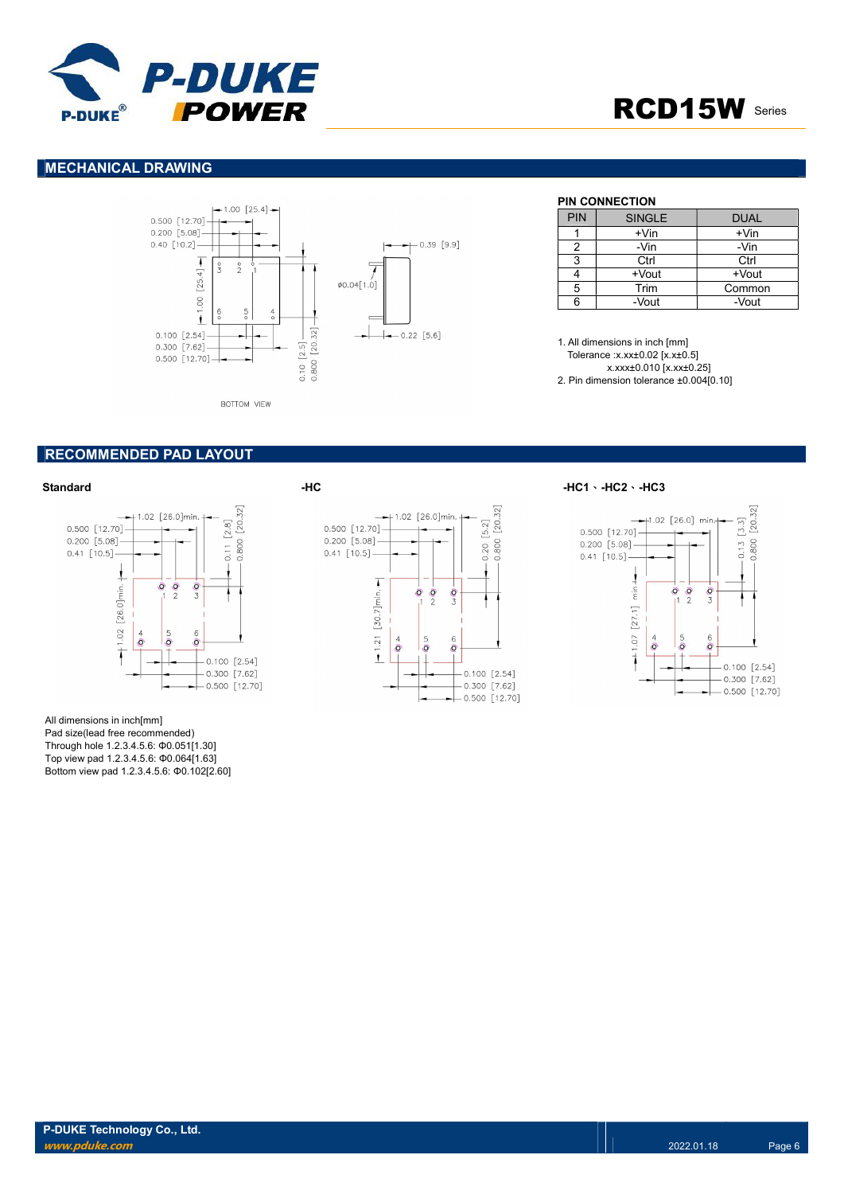

### MECHANICAL DRAWING



### PIN CONNECTION

| <b>PIN</b> | <b>SINGLE</b> | DUAL    |
|------------|---------------|---------|
|            | +Vin          | $+V$ in |
|            | -Vin          | -Vin    |
| 3          | Ctrl          | Ctrl    |
|            | +Vout         | +Vout   |
| 5          | Trim          | Common  |
| ี          | -Vout         | -Vout   |

1. All dimensions in inch [mm] Tolerance :x.xx±0.02 [x.x±0.5] x.xxx±0.010 [x.xx±0.25]

2. Pin dimension tolerance ±0.004[0.10]

### RECOMMENDED PAD LAYOUT



All dimensions in inch[mm] Pad size(lead free recommended) Through hole 1.2.3.4.5.6: Φ0.051[1.30] Top view pad 1.2.3.4.5.6: Φ0.064[1.63] Bottom view pad 1.2.3.4.5.6: Φ0.102[2.60]



Standard -HC -HC1、-HC2、-HC3

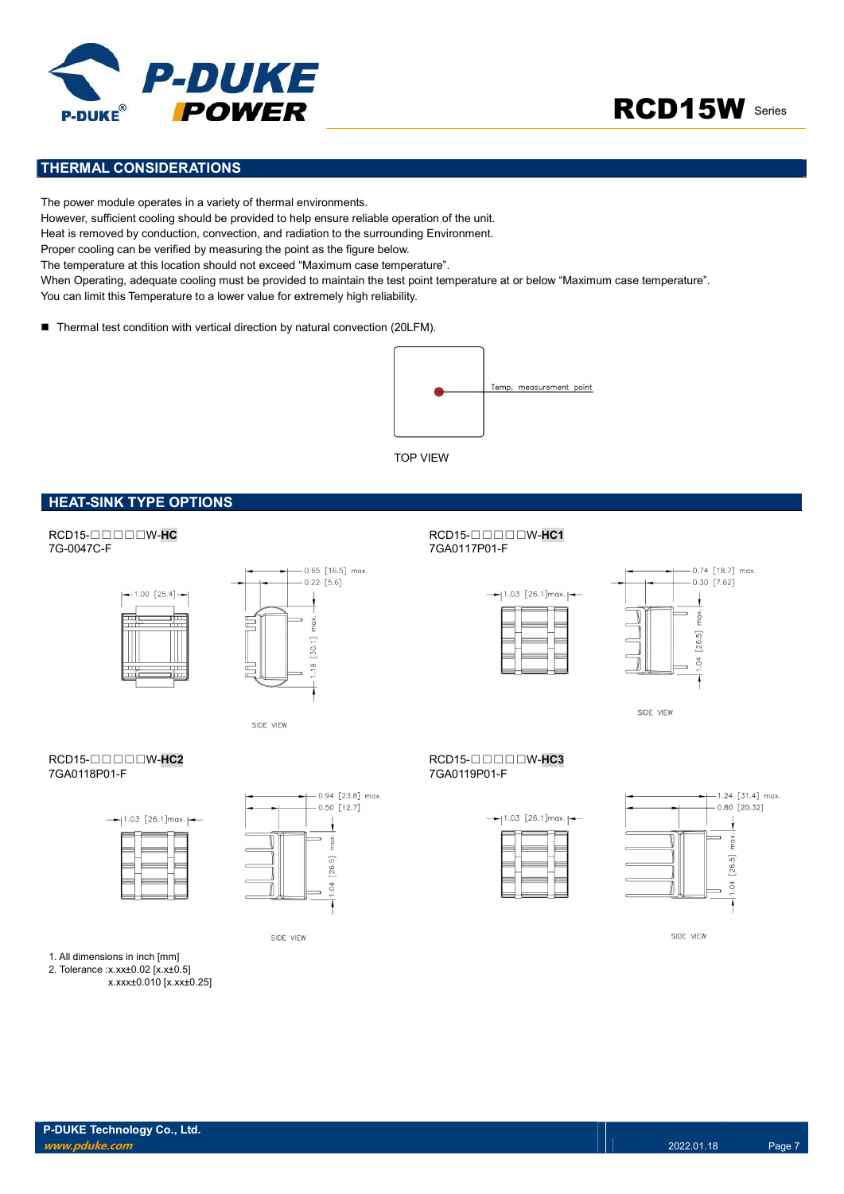



### THERMAL CONSIDERATIONS

The power module operates in a variety of thermal environments. However, sufficient cooling should be provided to help ensure reliable operation of the unit. Heat is removed by conduction, convection, and radiation to the surrounding Environment. Proper cooling can be verified by measuring the point as the figure below. The temperature at this location should not exceed "Maximum case temperature". When Operating, adequate cooling must be provided to maintain the test point temperature at or below "Maximum case temperature".

You can limit this Temperature to a lower value for extremely high reliability.

■ Thermal test condition with vertical direction by natural convection (20LFM).



TOP VIEW

### HEAT-SINK TYPE OPTIONS







SIDE VIEW

### RCD15-□□□□□W-HC2<br>7GA0118P01-F<br>7GA0118P01-F





SIDE VIEW

## 7GA0117P01-F





SIDE VIEW

# 7GA0118P01-F 7GA0119P01-F





SIDE VIEW

- 1. All dimensions in inch [mm]
- 2. Tolerance :x.xx±0.02 [x.x±0.5] x.xxx±0.010 [x.xx±0.25]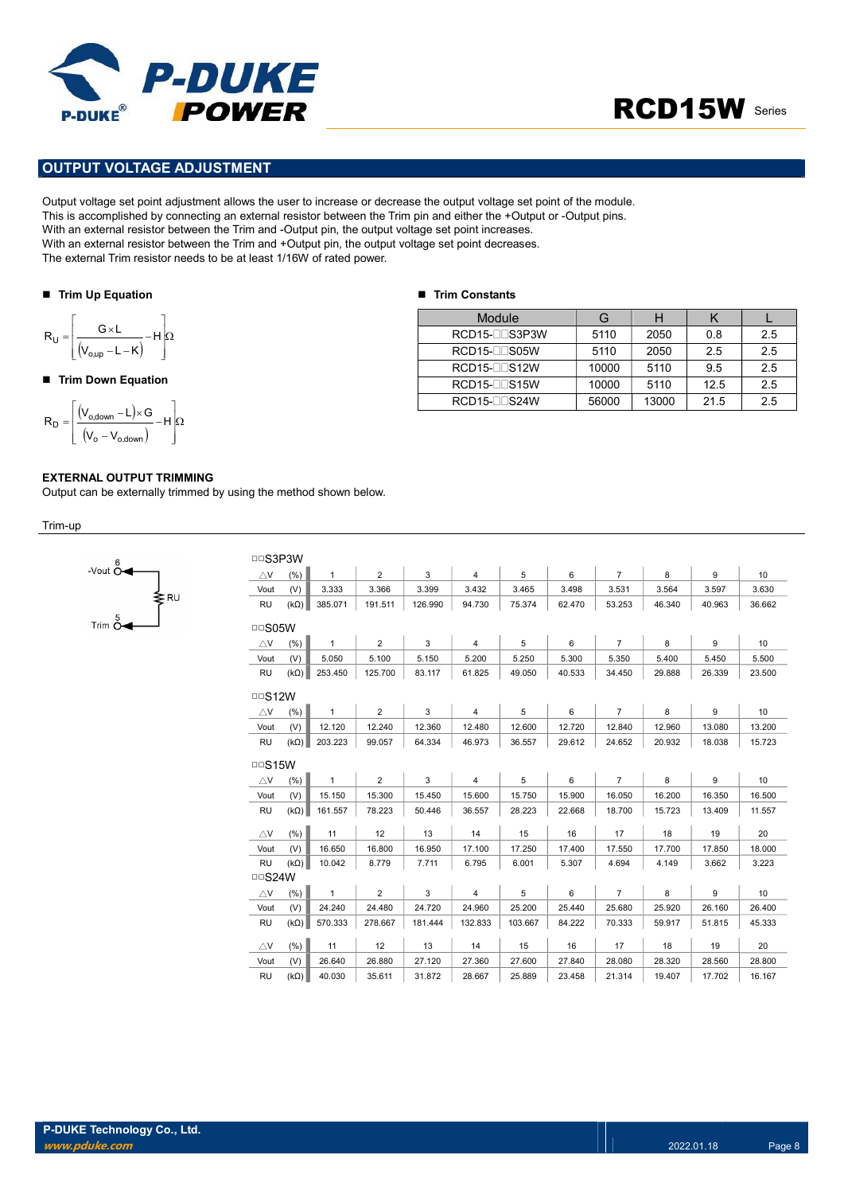

### OUTPUT VOLTAGE ADJUSTMENT

Output voltage set point adjustment allows the user to increase or decrease the output voltage set point of the module. This is accomplished by connecting an external resistor between the Trim pin and either the +Output or -Output pins. With an external resistor between the Trim and -Output pin, the output voltage set point increases. With an external resistor between the Trim and +Output pin, the output voltage set point decreases. The external Trim resistor needs to be at least 1/16W of rated power. **POWER**<br>
UIT VOLTAGE ADJUSTMENT<br>
voltage set point adjustment allows the user to increase or decrease the output voltage set point of the m<br>
secomplished by connecting an external resistor between the Trim pin and either POWER<br>
PUT VOLTAGE ADJUSTMENT<br>
voltage set point adjustment allows the user to increase or decrease the output voltage set point of the<br>
accomplished by connecting an external resistor between the Trim pin and either the UT VOLTAGE ADJUSTMENT<br>
UT VOLTAGE ADJUSTMENT<br>
Collage set point adjustment allows the user to increase or decrease the output voltage set point of the more<br>
external resistor between the Trim and -Output pin, the output v

#### ■ Trim Up Equation

$$
R_U = \left\lfloor \frac{G \times L}{(V_{o,up} - L - K)} - H \right\rfloor \Omega
$$

### ■ Trim Down Equation

 H V V V L G R o o,down o,down D

### EXTERNAL OUTPUT TRIMMING

Output can be externally trimmed by using the method shown below.

Trim-up



| <b>DDS3P3W</b>             |             |              |                |         |                |         |        |                |        |        |        |
|----------------------------|-------------|--------------|----------------|---------|----------------|---------|--------|----------------|--------|--------|--------|
| $\bigtriangleup$ V         | (% )        | $\mathbf{1}$ | $\overline{2}$ | 3       | $\overline{4}$ | 5       | 6      | $\overline{7}$ | 8      | 9      | 10     |
| Vout                       | (V)         | 3.333        | 3.366          | 3.399   | 3.432          | 3.465   | 3.498  | 3.531          | 3.564  | 3.597  | 3.630  |
| <b>RU</b>                  | $(k\Omega)$ | 385.071      | 191.511        | 126.990 | 94.730         | 75.374  | 62.470 | 53.253         | 46.340 | 40.963 | 36.662 |
| $\Box$ SO5W                |             |              |                |         |                |         |        |                |        |        |        |
| $\triangle$ V              | (%)         | $\mathbf{1}$ | $\overline{2}$ | 3       | $\overline{4}$ | 5       | 6      | $\overline{7}$ | 8      | 9      | 10     |
| Vout                       | (V)         | 5.050        | 5.100          | 5.150   | 5.200          | 5.250   | 5.300  | 5.350          | 5.400  | 5.450  | 5.500  |
| <b>RU</b>                  | $(k\Omega)$ | 253.450      | 125.700        | 83.117  | 61.825         | 49.050  | 40.533 | 34.450         | 29.888 | 26.339 | 23.500 |
| $\Box$ S12W                |             |              |                |         |                |         |        |                |        |        |        |
| $\triangle$ V              | (% )        | $\mathbf{1}$ | $\overline{2}$ | 3       | $\overline{4}$ | 5       | 6      | $\overline{7}$ | 8      | 9      | 10     |
| Vout                       | (V)         | 12.120       | 12.240         | 12.360  | 12.480         | 12.600  | 12.720 | 12.840         | 12.960 | 13.080 | 13.200 |
| <b>RU</b>                  | $(k\Omega)$ | 203.223      | 99.057         | 64.334  | 46.973         | 36.557  | 29.612 | 24.652         | 20.932 | 18.038 | 15.723 |
| $\Box$ S15W                |             |              |                |         |                |         |        |                |        |        |        |
|                            | (% )        | $\mathbf{1}$ | $\overline{2}$ | 3       | $\overline{4}$ | 5       | 6      | $\overline{7}$ | 8      | 9      | 10     |
| $\triangle$ V              |             |              |                |         |                |         |        |                |        |        |        |
| Vout                       | (V)         | 15.150       | 15.300         | 15.450  | 15.600         | 15.750  | 15.900 | 16.050         | 16.200 | 16.350 | 16.500 |
| <b>RU</b>                  | $(k\Omega)$ | 161.557      | 78.223         | 50.446  | 36.557         | 28.223  | 22.668 | 18.700         | 15.723 | 13.409 | 11.557 |
| $\triangle$ V              | (% )        | 11           | 12             | 13      | 14             | 15      | 16     | 17             | 18     | 19     | 20     |
| Vout                       | (V)         | 16.650       | 16.800         | 16.950  | 17.100         | 17.250  | 17.400 | 17.550         | 17.700 | 17.850 | 18.000 |
| <b>RU</b>                  | $(k\Omega)$ | 10.042       | 8.779          | 7.711   | 6.795          | 6.001   | 5.307  | 4.694          | 4.149  | 3.662  | 3.223  |
| $\Box$ S24W                |             |              |                |         |                |         |        |                |        |        |        |
| $\bigtriangleup\mathsf{V}$ | (% )        | $\mathbf{1}$ | $\overline{2}$ | 3       | $\overline{4}$ | 5       | 6      | $\overline{7}$ | 8      | 9      | 10     |
| Vout                       | (V)         | 24.240       | 24.480         | 24.720  | 24.960         | 25.200  | 25.440 | 25.680         | 25.920 | 26.160 | 26.400 |
| <b>RU</b>                  | $(k\Omega)$ | 570.333      | 278.667        | 181.444 | 132.833        | 103.667 | 84.222 | 70.333         | 59.917 | 51.815 | 45.333 |
| $\triangle$ V              | (% )        | 11           | 12             | 13      | 14             | 15      | 16     | 17             | 18     | 19     | 20     |
| Vout                       | (V)         | 26.640       | 26.880         | 27.120  | 27.360         | 27.600  | 27.840 | 28.080         | 28.320 | 28.560 | 28.800 |
| <b>RU</b>                  | $(k\Omega)$ | 40.030       | 35.611         | 31.872  | 28.667         | 25.889  | 23.458 | 21.314         | 19.407 | 17.702 | 16.167 |

### ■ Trim Constants

| Module                | G     |       |      |     |
|-----------------------|-------|-------|------|-----|
| RCD15-LLS3P3W         | 5110  | 2050  | 0.8  | 2.5 |
| $RCD15$ - $\Box$ S05W | 5110  | 2050  | 2.5  | 2.5 |
| <b>RCD15-</b> CDS12W  | 10000 | 5110  | 9.5  | 2.5 |
| $RCD15$ - $\Box$ S15W | 10000 | 5110  | 12.5 | 2.5 |
| RCD15-DDS24W          | 56000 | 13000 | 21.5 | 2.5 |